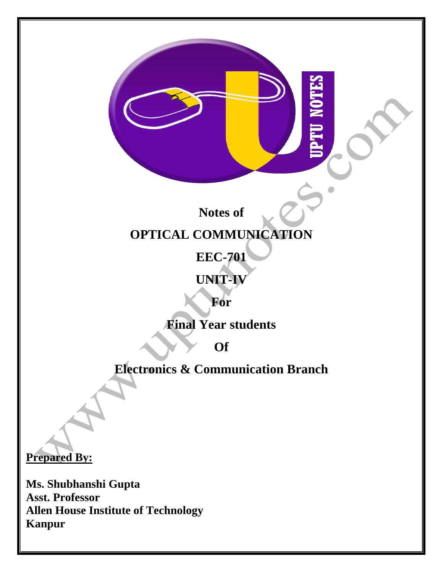**Notes of**

# **OPTICAL COMMUNICATION**

**EEC-701**

# **UNIT-IV**

**For**

**Final Year students**

**Of**

**Electronics & Communication Branch**

**Prepared By:** 

**Ms. Shubhanshi Gupta Asst. Professor Allen House Institute of Technology Kanpur**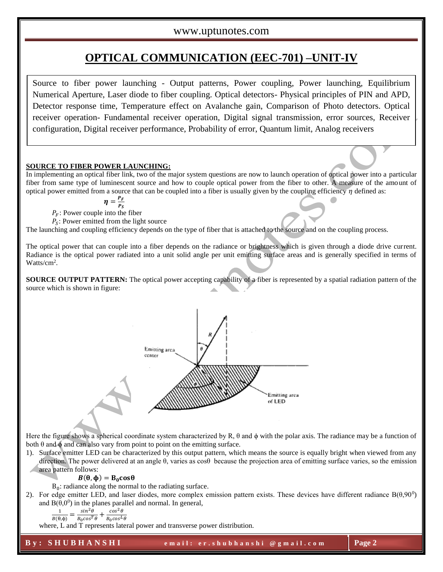# **OPTICAL COMMUNICATION (EEC-701) –UNIT-IV**

Source to fiber power launching - Output patterns, Power coupling, Power launching, Equilibrium Numerical Aperture, Laser diode to fiber coupling. Optical detectors- Physical principles of PIN and APD, Detector response time, Temperature effect on Avalanche gain, Comparison of Photo detectors. Optical receiver operation- Fundamental receiver operation, Digital signal transmission, error sources, Receiver configuration, Digital receiver performance, Probability of error, Quantum limit, Analog receivers

#### **SOURCE TO FIBER POWER LAUNCHING:**

In implementing an optical fiber link, two of the major system questions are now to launch operation of optical power into a particular fiber from same type of luminescent source and how to couple optical power from the fiber to other. A measure of the amount of optical power emitted from a source that can be coupled into a fiber is usually given by the coupling efficiency  $\eta$  defined as:

$$
\eta = \frac{P_F}{P_C}
$$

 $P_{S}$  $P_F$ : Power couple into the fiber

 $P_S$ : Power emitted from the light source

The launching and coupling efficiency depends on the type of fiber that is attached to the source and on the coupling process.

The optical power that can couple into a fiber depends on the radiance or brightness which is given through a diode drive current. Radiance is the optical power radiated into a unit solid angle per unit emitting surface areas and is generally specified in terms of Watts/cm<sup>2</sup>.

**SOURCE OUTPUT PATTERN:** The optical power accepting capability of a fiber is represented by a spatial radiation pattern of the source which is shown in figure:



Here the figure shows a spherical coordinate system characterized by R,  $\theta$  and  $\phi$  with the polar axis. The radiance may be a function of both  $\theta$  and  $\phi$  and can also vary from point to point on the emitting surface.

1). Surface emitter LED can be characterized by this output pattern, which means the source is equally bright when viewed from any direction. The power delivered at an angle θ, varies as cosθ because the projection area of emitting surface varies, so the emission area pattern follows:

#### $B(\theta, \phi) = B_0 \cos \theta$

 $B_0$ : radiance along the normal to the radiating surface.

2). For edge emitter LED, and laser diodes, more complex emission pattern exists. These devices have different radiance  $B(\theta, 90^0)$ and  $B(\theta, 0^0)$  in the planes parallel and normal. In general,

$$
\frac{1}{B(\theta,\phi)} = \frac{\sin^2\theta}{B_0\cos^T\theta} + \frac{\cos^2\theta}{B_0\cos^L\theta}
$$

where, L and T represents lateral power and transverse power distribution.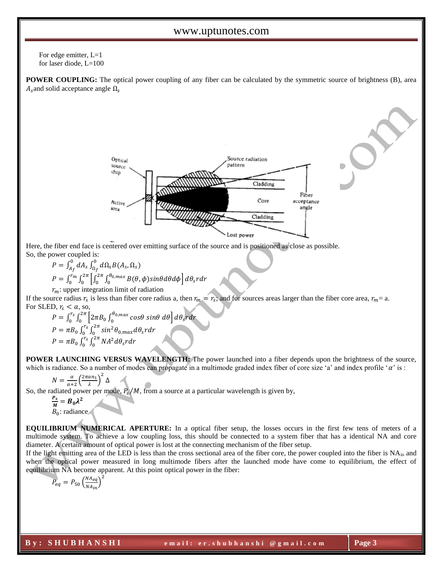For edge emitter, L=1 for laser diode, L=100

**POWER COUPLING:** The optical power coupling of any fiber can be calculated by the symmetric source of brightness (B), area  $A_s$  and solid acceptance angle  $\Omega_s$ 



Here, the fiber end face is centered over emitting surface of the source and is positioned as close as possible. So, the power coupled is:

$$
P = \int_{A_f}^{0} dA_s \int_{\Omega_f}^{0} d\Omega_s B(A_s, \Omega_s)
$$
  
\n
$$
P = \int_{0}^{r_m} \int_{0}^{2\pi} \left[ \int_{0}^{2\pi} \int_{0}^{\theta_0, \max} B(\theta, \phi) \sin\theta d\theta d\phi \right] d\theta_s r dr
$$
  
\n $r_m$ : upper integration limit of radiation

If the source radius  $r_s$  is less than fiber core radius a, then  $r_m = r_s$ ; and for sources areas larger than the fiber core area,  $r_m = a$ . For SLED,  $r_s < a$ , so,

$$
P = \int_0^{r_s} \int_0^{2\pi} \left[ 2\pi B_0 \int_0^{\theta_{0,max}} \cos\theta \sin\theta \, d\theta \right] d\theta_s r dr
$$
  
\n
$$
P = \pi B_0 \int_0^{r_s} \int_0^{2\pi} \sin^2 \theta_{0,max} d\theta_s r dr
$$
  
\n
$$
P = \pi B_0 \int_0^{r_s} \int_0^{2\pi} N A^2 d\theta_s r dr
$$

∆

**POWER LAUNCHING VERSUS WAVELENGTH:** The power launched into a fiber depends upon the brightness of the source, which is radiance. So a number of modes can propagate in a multimode graded index fiber of core size 'a' and index profile ' $\alpha$ ' is :

$$
N = \frac{\alpha}{\alpha + 2} \left( \frac{2\pi a n_1}{\lambda} \right)^2
$$

So, the radiated power per mode,  $P_s/M$ , from a source at a particular wavelength is given by,

 $P_{s}$  $\frac{P_s}{M} = B_0 \lambda^2$ 

 $B_0$ : radiance

**EQUILIBRIUM NUMERICAL APERTURE:** In a optical fiber setup, the losses occurs in the first few tens of meters of a multimode system. To achieve a low coupling loss, this should be connected to a system fiber that has a identical NA and core diameter. A certain amount of optical power is lost at the connecting mechanism of the fiber setup.

If the light emitting area of the LED is less than the cross sectional area of the fiber core, the power coupled into the fiber is  $NA<sub>in</sub>$  and when the optical power measured in long multimode fibers after the launched mode have come to equilibrium, the effect of equilibrium NA become apparent. At this point optical power in the fiber:

$$
P_{eq} = P_{50} \left(\frac{NA_{eq}}{NA_{in}}\right)^2
$$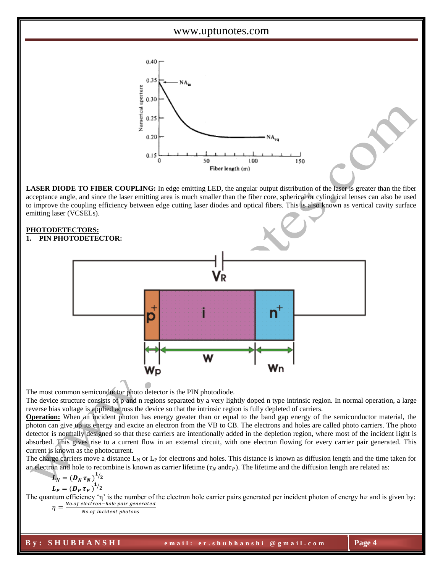

**LASER DIODE TO FIBER COUPLING:** In edge emitting LED, the angular output distribution of the laser is greater than the fiber acceptance angle, and since the laser emitting area is much smaller than the fiber core, spherical or cylindrical lenses can also be used to improve the coupling efficiency between edge cutting laser diodes and optical fibers. This is also known as vertical cavity surface emitting laser (VCSELs).

# **PHOTODETECTORS:**

#### **1. PIN PHOTODETECTOR:**



The most common semiconductor photo detector is the PIN photodiode.

The device structure consists of p and n regions separated by a very lightly doped n type intrinsic region. In normal operation, a large reverse bias voltage is applied across the device so that the intrinsic region is fully depleted of carriers.

**Operation:** When an incident photon has energy greater than or equal to the band gap energy of the semiconductor material, the photon can give up its energy and excite an electron from the VB to CB. The electrons and holes are called photo carriers. The photo detector is normally designed so that these carriers are intentionally added in the depletion region, where most of the incident light is absorbed. This gives rise to a current flow in an external circuit, with one electron flowing for every carrier pair generated. This current is known as the photocurrent.

The charge carriers move a distance  $L_N$  or  $L_P$  for electrons and holes. This distance is known as diffusion length and the time taken for an electron and hole to recombine is known as carrier lifetime ( $\tau_N$  and $\tau_P$ ). The lifetime and the diffusion length are related as:

$$
L_N = (D_N \tau_N)^{1/2}
$$
  

$$
L_P = (D_P \tau_P)^{1/2}
$$

The quantum efficiency 'η' is the number of the electron hole carrier pairs generated per incident photon of energy hv and is given by:  $\eta = \frac{No. of\ electron - hole\ pair\ generated}{No. of\ initial\ well\ with\ our\$ 

No.of incident photons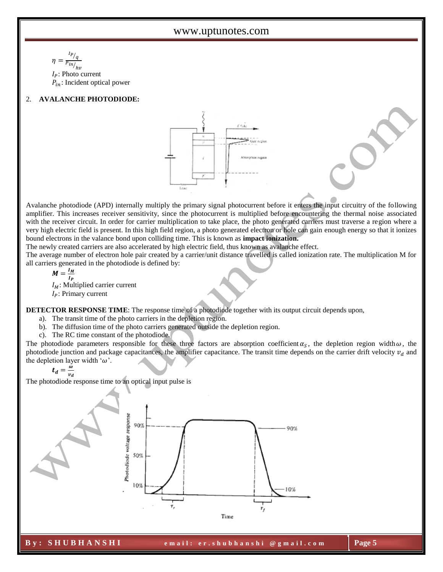$$
\eta = \frac{I_P}{P_{in/}_{hv}}
$$
  
I<sub>P</sub>: Photo current  
 $P_{in}$ : Incident optical power

### 2. **AVALANCHE PHOTODIODE:**



Avalanche photodiode (APD) internally multiply the primary signal photocurrent before it enters the input circuitry of the following amplifier. This increases receiver sensitivity, since the photocurrent is multiplied before encountering the thermal noise associated with the receiver circuit. In order for carrier multiplication to take place, the photo generated carriers must traverse a region where a very high electric field is present. In this high field region, a photo generated electron or hole can gain enough energy so that it ionizes bound electrons in the valance bond upon colliding time. This is known as **impact ionization.** 

The newly created carriers are also accelerated by high electric field, thus known as avalanche effect.

The average number of electron hole pair created by a carrier/unit distance travelled is called ionization rate. The multiplication M for all carriers generated in the photodiode is defined by:

$$
M=\frac{I_M}{I_P}
$$

 $I_M$ : Multiplied carrier current

 $I_P$ : Primary current

**DETECTOR RESPONSE TIME**: The response time of a photodiode together with its output circuit depends upon,

- a). The transit time of the photo carriers in the depletion region.
- b). The diffusion time of the photo carriers generated outside the depletion region.
- c). The RC time constant of the photodiode.

The photodiode parameters responsible for these three factors are absorption coefficient  $\alpha_s$ , the depletion region width  $\omega$ , the photodiode junction and package capacitances, the amplifier capacitance. The transit time depends on the carrier drift velocity  $v_d$  and the depletion layer width ' $\omega$ '.

$$
t_d = \frac{\dot{\omega}}{v_d}
$$

The photodiode response time to an optical input pulse is

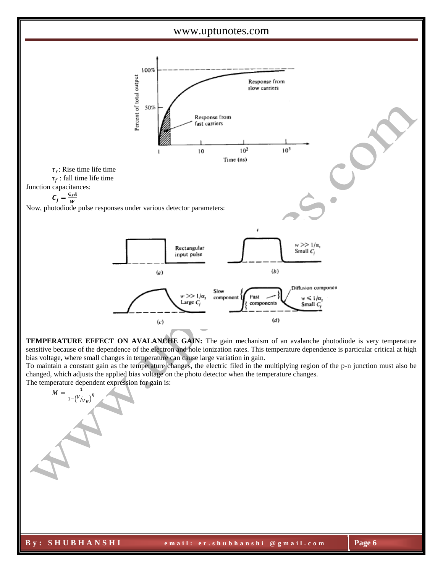



**TEMPERATURE EFFECT ON AVALANCHE GAIN:** The gain mechanism of an avalanche photodiode is very temperature sensitive because of the dependence of the electron and hole ionization rates. This temperature dependence is particular critical at high bias voltage, where small changes in temperature can cause large variation in gain.

To maintain a constant gain as the temperature changes, the electric filed in the multiplying region of the p-n junction must also be changed, which adjusts the applied bias voltage on the photo detector when the temperature changes. The temperature dependent expression for gain is:

$$
M = \frac{1}{1 - \left(\frac{V}{V_B}\right)^{\eta}}
$$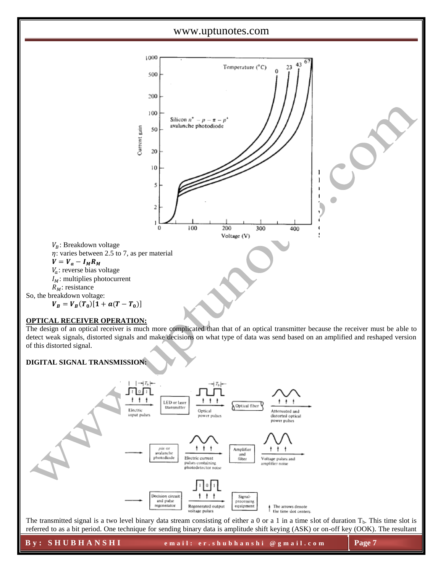

$$
V_B = V_B(T_0)[1 + a(T - T_0)]
$$

#### **OPTICAL RECEIVER OPERATION:**

The design of an optical receiver is much more complicated than that of an optical transmitter because the receiver must be able to detect weak signals, distorted signals and make decisions on what type of data was send based on an amplified and reshaped version of this distorted signal.

## **DIGITAL SIGNAL TRANSMISSION:**



The transmitted signal is a two level binary data stream consisting of either a 0 or a 1 in a time slot of duration  $T<sub>b</sub>$ . This time slot is referred to as a bit period. One technique for sending binary data is amplitude shift keying (ASK) or on-off key (OOK). The resultant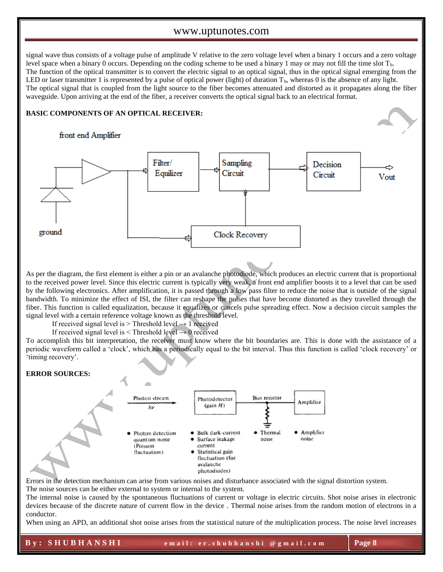signal wave thus consists of a voltage pulse of amplitude V relative to the zero voltage level when a binary 1 occurs and a zero voltage level space when a binary 0 occurs. Depending on the coding scheme to be used a binary 1 may or may not fill the time slot  $T_b$ . The function of the optical transmitter is to convert the electric signal to an optical signal, thus in the optical signal emerging from the LED or laser transmitter 1 is represented by a pulse of optical power (light) of duration  $T_b$ , whereas 0 is the absence of any light. The optical signal that is coupled from the light source to the fiber becomes attenuated and distorted as it propagates along the fiber waveguide. Upon arriving at the end of the fiber, a receiver converts the optical signal back to an electrical format.

#### **BASIC COMPONENTS OF AN OPTICAL RECEIVER:**

# front end Amplifier



As per the diagram, the first element is either a pin or an avalanche photodiode, which produces an electric current that is proportional to the received power level. Since this electric current is typically very weak, a front end amplifier boosts it to a level that can be used by the following electronics. After amplification, it is passed through a low pass filter to reduce the noise that is outside of the signal bandwidth. To minimize the effect of ISI, the filter can reshape the pulses that have become distorted as they travelled through the fiber. This function is called equalization, because it equalizes or cancels pulse spreading effect. Now a decision circuit samples the signal level with a certain reference voltage known as the threshold level.

If received signal level is > Threshold level  $\rightarrow$  1 received

If received signal level is  $\leq$  Threshold level  $\rightarrow$  0 received

To accomplish this bit interpretation, the receiver must know where the bit boundaries are. This is done with the assistance of a periodic waveform called a 'clock', which has a periodically equal to the bit interval. Thus this function is called 'clock recovery' or 'timing recovery'.

#### **ERROR SOURCES:**



Errors in the detection mechanism can arise from various noises and disturbance associated with the signal distortion system. The noise sources can be either external to system or internal to the system.

The internal noise is caused by the spontaneous fluctuations of current or voltage in electric circuits. Shot noise arises in electronic devices because of the discrete nature of current flow in the device . Thermal noise arises from the random motion of electrons in a conductor.

When using an APD, an additional shot noise arises from the statistical nature of the multiplication process. The noise level increases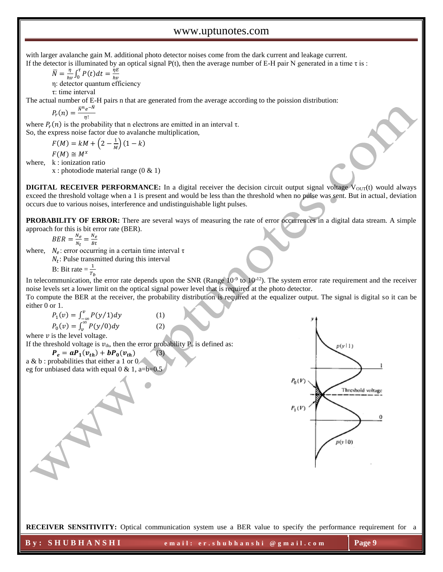with larger avalanche gain M. additional photo detector noises come from the dark current and leakage current. If the detector is illuminated by an optical signal  $P(t)$ , then the average number of E-H pair N generated in a time τ is:

$$
\overline{N} = \frac{\eta}{h\nu} \int_0^{\tau} P(t) dt = \frac{\eta E}{h\nu}
$$

ℎ η: detector quantum efficiency

τ: time interval

The actual number of E-H pairs n that are generated from the average according to the poission distribution:

$$
P_r(n) = \frac{\bar{N}^n e^{-\bar{N}}}{\eta!}
$$

where  $P_r(n)$  is the probability that n electrons are emitted in an interval  $\tau$ . So, the express noise factor due to avalanche multiplication,

$$
F(M) = kM + \left(2 - \frac{1}{M}\right)(1 - k)
$$
  

$$
F(M) \cong M^{x}
$$

where, k : ionization ratio

x : photodiode material range (0 & 1)

**DIGITAL RECEIVER PERFORMANCE:** In a digital receiver the decision circuit output signal voltage  $V_{\text{OUT}}(t)$  would always exceed the threshold voltage when a 1 is present and would be less than the threshold when no pulse was sent. But in actual, deviation occurs due to various noises, interference and undistinguishable light pulses.

**PROBABILITY OF ERROR:** There are several ways of measuring the rate of error occurrences in a digital data stream. A simple approach for this is bit error rate (BER).

 $BER = \frac{N_e}{N}$  $\frac{N_e}{N_t} = \frac{N_e}{Bt}$ Bt

where,  $N_e$ : error occurring in a certain time interval  $\tau$ 

 $N_t$ : Pulse transmitted during this interval

B: Bit rate  $=\frac{1}{T_b}$ 

In telecommunication, the error rate depends upon the SNR (Range  $10^{-9}$  to  $10^{-12}$ ). The system error rate requirement and the receiver noise levels set a lower limit on the optical signal power level that is required at the photo detector.

To compute the BER at the receiver, the probability distribution is required at the equalizer output. The signal is digital so it can be either 0 or 1.

$$
P_1(v) = \int_{-\infty}^{v} P(y/1) dy
$$
 (1)  

$$
P_0(v) = \int_{v}^{\infty} P(y/0) dy
$$
 (2)

where  $\nu$  is the level voltage.

If the threshold voltage is  $v_{th}$ , then the error probability  $P_e$  is defined as:

 $P_e = aP_1(v_{th}) + bP_0(v_{th})$  (3) a & b : probabilities that either a 1 or 0

eg for unbiased data with equal  $0 \& 1$ , a=b=0.5



**RECEIVER SENSITIVITY:** Optical communication system use a BER value to specify the performance requirement for a